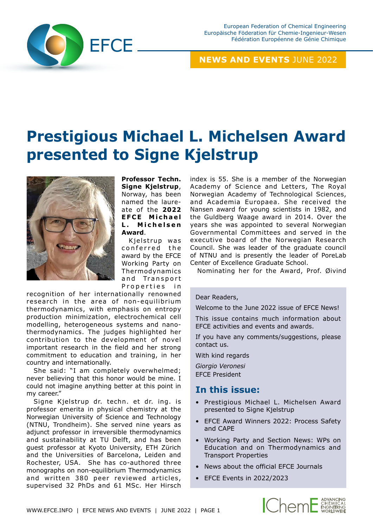

## **NEWS AND EVENTS** JUNE 2022

# **Prestigious Michael L. Michelsen Award presented to Signe Kjelstrup**



**Professor Techn. Signe Kjelstrup**, Norway, has been named the laureate of the **2022 E F C E M i c h a e l L . M i c h e l s e n Award**.

Kielstrup was conferred the award by the EFCE Working Party on Thermodynamics and Transport Properties in

recognition of her internationally renowned research in the area of non-equilibrium thermodynamics, with emphasis on entropy production minimization, electrochemical cell modelling, heterogeneous systems and nanothermodynamics. The judges highlighted her contribution to the development of novel important research in the field and her strong commitment to education and training, in her country and internationally.

She said: "I am completely overwhelmed; never believing that this honor would be mine. I could not imagine anything better at this point in my career."

Signe Kjelstrup dr. techn. et dr. ing. is professor emerita in physical chemistry at the Norwegian University of Science and Technology (NTNU, Trondheim). She served nine years as adjunct professor in irreversible thermodynamics and sustainability at TU Delft, and has been guest professor at Kyoto University, ETH Zürich and the Universities of Barcelona, Leiden and Rochester, USA. She has co-authored three monographs on non-equilibrium Thermodynamics and written 380 peer reviewed articles, supervised 32 PhDs and 61 MSc. Her Hirsch index is 55. She is a member of the Norwegian Academy of Science and Letters, The Royal Norwegian Academy of Technological Sciences, and Academia Europaea. She received the Nansen award for young scientists in 1982, and the Guldberg Waage award in 2014. Over the years she was appointed to several Norwegian Governmental Committees and served in the executive board of the Norwegian Research Council. She was leader of the graduate council of NTNU and is presently the leader of PoreLab Center of Excellence Graduate School.

Nominating her for the Award, Prof. Øivind

#### Dear Readers,

Welcome to the June 2022 issue of EFCE News!

This issue contains much information about EFCE activities and events and awards.

If you have any comments/suggestions, please contact us.

With kind regards

*Giorgio Veronesi* EFCE President

## **In this issue:**

- Prestigious Michael L. Michelsen Award presented to Signe Kjelstrup
- EFCE Award Winners 2022: Process Safety and CAPE
- Working Party and Section News: WPs on Education and on Thermodynamics and Transport Properties
- News about the official EFCE Journals
- EFCE Events in 2022/2023

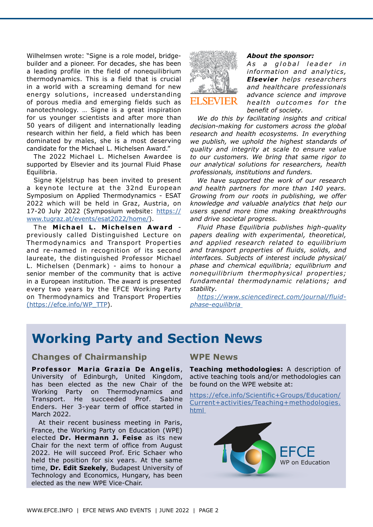Wilhelmsen wrote: "Signe is a role model, bridgebuilder and a pioneer. For decades, she has been a leading profile in the field of nonequilibrium thermodynamics. This is a field that is crucial in a world with a screaming demand for new energy solutions, increased understanding of porous media and emerging fields such as nanotechnology. … Signe is a great inspiration for us younger scientists and after more than 50 years of diligent and internationally leading research within her field, a field which has been dominated by males, she is a most deserving candidate for the Michael L. Michelsen Award."

The 2022 Michael L. Michelsen Awardee is supported by Elsevier and its journal Fluid Phase Equilibria.

Signe Kjelstrup has been invited to present a keynote lecture at the 32nd European Symposium on Applied Thermodynamics - ESAT 2022 which will be held in Graz, Austria, on 17-20 July 2022 (Symposium website: [https://](https://www.tugraz.at/events/esat2022/home/) [www.tugraz.at/events/esat2022/home/\)](https://www.tugraz.at/events/esat2022/home/).

The **Michael L. Michelsen Award**  previously called Distinguished Lecture on Thermodynamics and Transport Properties and re-named in recognition of its second laureate, the distinguished Professor Michael L. Michelsen (Denmark) - aims to honour a senior member of the community that is active in a European institution. The award is presented every two years by the EFCE Working Party on Thermodynamics and Transport Properties [\(https://efce.info/WP\\_TTP](https://efce.info/WP_TTP)).



#### *About the sponsor:*

As a global leader in *information and analytics, Elsevier helps researchers and healthcare professionals advance science and improve health outcomes for the benefit of society.* 

*We do this by facilitating insights and critical decision-making for customers across the global research and health ecosystems. In everything we publish, we uphold the highest standards of quality and integrity at scale to ensure value to our customers. We bring that same rigor to our analytical solutions for researchers, health professionals, institutions and funders.*

*We have supported the work of our research and health partners for more than 140 years. Growing from our roots in publishing, we offer knowledge and valuable analytics that help our users spend more time making breakthroughs and drive societal progress.*

*Fluid Phase Equilibria publishes high-quality papers dealing with experimental, theoretical, and applied research related to equilibrium and transport properties of fluids, solids, and interfaces. Subjects of interest include physical/ phase and chemical equilibria; equilibrium and nonequilibrium thermophysical properties; fundamental thermodynamic relations; and stability.* 

*[https://www.sciencedirect.com/journal/fluid](https://www.sciencedirect.com/journal/fluid-phase-equilibria)[phase-equilibria](https://www.sciencedirect.com/journal/fluid-phase-equilibria)* 

## **Working Party and Section News**

#### **Changes of Chairmanship**

**Professor Maria Grazia De Angelis**, University of Edinburgh, United Kingdom, has been elected as the new Chair of the Working Party on Thermodynamics and Transport. He succeeded Prof. Sabine Enders. Her 3-year term of office started in March 2022.

At their recent business meeting in Paris, France, the Working Party on Education (WPE) elected **Dr. Hermann J. Feise** as its new Chair for the next term of office from August 2022. He will succeed Prof. Eric Schaer who held the position for six years. At the same time, **Dr. Edit Szekely**, Budapest University of Technology and Economics, Hungary, has been elected as the new WPE Vice-Chair.

#### **WPE News**

**Teaching methodologies:** A description of active teaching tools and/or methodologies can be found on the WPE website at:

[https://efce.info/Scientific+Groups/Education/](https://efce.info/Scientific+Groups/Education/Current+activities/Teaching+methodologies.html 
) [Current+activities/Teaching+methodologies.](https://efce.info/Scientific+Groups/Education/Current+activities/Teaching+methodologies.html 
) [html](https://efce.info/Scientific+Groups/Education/Current+activities/Teaching+methodologies.html 
) 

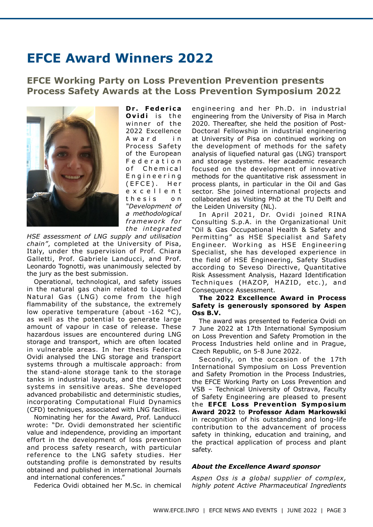## **EFCE Award Winners 2022**

## **EFCE Working Party on Loss Prevention Prevention presents Process Safety Awards at the Loss Prevention Symposium 2022**



Dr. Federica **Ovidi** is the winner of the 2022 Excellence A w a r d in Process Safety of the European F e d e r a t i o n of Chemical E n g i n e e r i n g (EFCE). Her e x c e l l e n t t h e s i s o n *"Development of a methodological*  framework for *the in tegra ted* 

*HSE assessment of LNG supply and utilisation chain"*, completed at the University of Pisa, Italy, under the supervision of Prof. Chiara Galletti, Prof. Gabriele Landucci, and Prof. Leonardo Tognotti, was unanimously selected by the jury as the best submission.

Operational, technological, and safety issues in the natural gas chain related to Liquefied Natural Gas (LNG) come from the high flammability of the substance, the extremely low operative temperature (about -162 °C), as well as the potential to generate large amount of vapour in case of release. These hazardous issues are encountered during LNG storage and transport, which are often located in vulnerable areas. In her thesis Federica Ovidi analysed the LNG storage and transport systems through a multiscale approach: from the stand-alone storage tank to the storage tanks in industrial layouts, and the transport systems in sensitive areas. She developed advanced probabilistic and deterministic studies, incorporating Computational Fluid Dynamics (CFD) techniques, associated with LNG facilities.

Nominating her for the Award, Prof. Landucci wrote: "Dr. Ovidi demonstrated her scientific value and independence, providing an important effort in the development of loss prevention and process safety research, with particular reference to the LNG safety studies. Her outstanding profile is demonstrated by results obtained and published in international Journals and international conferences."

Federica Ovidi obtained her M.Sc. in chemical

engineering and her Ph .D. in industrial engineering from the University of Pisa in March 2020. Thereafter, she held the position of Post-Doctoral Fellowship in industrial engineering at University of Pisa on continued working on the development of methods for the safety analysis of liquefied natural gas (LNG) transport and storage systems. Her academic research focused on the development of innovative methods for the quantitative risk assessment in process plants, in particular in the Oil and Gas sector. She joined international projects and collaborated as Visiting PhD at the TU Delft and the Leiden University (NL).

In April 2021, Dr. Ovidi joined RINA Consulting S.p.A. in the Organizational Unit "Oil & Gas Occupational Health & Safety and Permitting" as HSE Specialist and Safety Engineer. Working as HSE Engineering Specialist, she has developed experience in the field of HSE Engineering, Safety Studies according to Seveso Directive, Quantitative Risk Assessment Analysis, Hazard Identification Techniques (HAZOP, HAZID, etc.), and Consequence Assessment.

#### **The 2022 Excellence Award in Process Safety is generously sponsored by Aspen Oss B.V.**

The award was presented to Federica Ovidi on 7 June 2022 at 17th International Symposium on Loss Prevention and Safety Promotion in the Process Industries held online and in Prague, Czech Republic, on 5-8 June 2022.

Secondly, on the occasion of the 17th International Symposium on Loss Prevention and Safety Promotion in the Process Industries, the EFCE Working Party on Loss Prevention and VSB – Technical University of Ostrava, Faculty of Safety Engineering are pleased to present the **EFCE Loss Prevention Symposium Award 2022** to **Professor Adam Markowski**  in recognition of his outstanding and long-life contribution to the advancement of process safety in thinking, education and training, and the practical application of process and plant safety.

#### *About the Excellence Award sponsor*

*Aspen Oss is a global supplier of complex, highly potent Active Pharmaceutical Ingredients*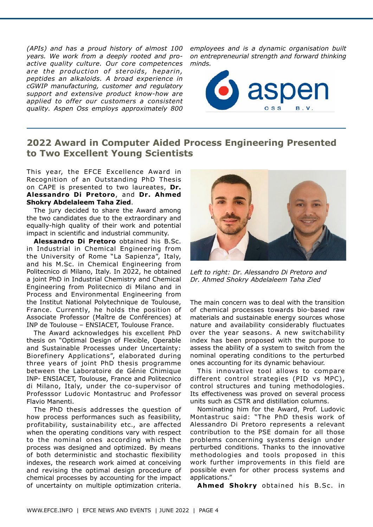*(APIs) and has a proud history of almost 100 years. We work from a deeply rooted and proactive quality culture. Our core competences*  are the production of steroids, heparin, *peptides an alkaloids. A broad experience in cGWIP manufacturing, customer and regulatory support and extensive product know-how are applied to offer our customers a consistent quality. Aspen Oss employs approximately 800* 

*employees and is a dynamic organisation built on entrepreneurial strength and forward thinking minds.*



## **2022 Award in Computer Aided Process Engineering Presented to Two Excellent Young Scientists**

This year, the EFCE Excellence Award in Recognition of an Outstanding PhD Thesis on CAPE is presented to two laureates, **Dr. Alessandro Di Pretoro**, and **Dr. Ahmed Shokry Abdelaleem Taha Zied**.

The jury decided to share the Award among the two candidates due to the extraordinary and equally-high quality of their work and potential impact in scientific and industrial community.

**Alessandro Di Pretoro** obtained his B.Sc. in Industrial in Chemical Engineering from the University of Rome "La Sapienza", Italy, and his M.Sc. in Chemical Engineering from Politecnico di Milano, Italy. In 2022, he obtained a joint PhD in Industrial Chemistry and Chemical Engineering from Politecnico di Milano and in Process and Environmental Engineering from the Institut National Polytechnique de Toulouse, France. Currently, he holds the position of Associate Professor (Maître de Conférences) at INP de Toulouse – ENSIACET, Toulouse France.

The Award acknowledges his excellent PhD thesis on "Optimal Design of Flexible, Operable and Sustainable Processes under Uncertainty: Biorefinery Applications", elaborated during three years of joint PhD thesis programme between the Laboratoire de Génie Chimique INP- ENSIACET, Toulouse, France and Politecnico di Milano, Italy, under the co-supervisor of Professsor Ludovic Montastruc and Professor Flavio Manenti.

The PhD thesis addresses the question of how process performances such as feasibility, profitability, sustainability etc., are affected when the operating conditions vary with respect to the nominal ones according which the process was designed and optimized. By means of both deterministic and stochastic flexibility indexes, the research work aimed at conceiving and revising the optimal design procedure of chemical processes by accounting for the impact of uncertainty on multiple optimization criteria.



*Left to right: Dr. Alessandro Di Pretoro and Dr. Ahmed Shokry Abdelaleem Taha Zied*

The main concern was to deal with the transition of chemical processes towards bio-based raw materials and sustainable energy sources whose nature and availability considerably fluctuates over the year seasons. A new switchability index has been proposed with the purpose to assess the ability of a system to switch from the nominal operating conditions to the perturbed ones accounting for its dynamic behaviour.

This innovative tool allows to compare different control strategies (PID vs MPC), control structures and tuning methodologies. Its effectiveness was proved on several process units such as CSTR and distillation columns.

Nominating him for the Award, Prof. Ludovic Montastruc said: "The PhD thesis work of Alessandro Di Pretoro represents a relevant contribution to the PSE domain for all those problems concerning systems design under perturbed conditions. Thanks to the innovative methodologies and tools proposed in this work further improvements in this field are possible even for other process systems and applications."

**Ahmed Shokry** obtained his B.Sc. in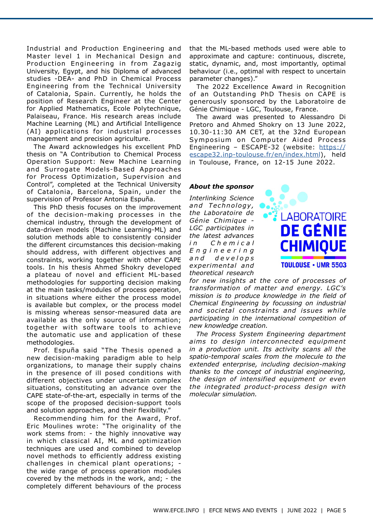Industrial and Production Engineering and Master level 1 in Mechanical Design and Production Engineering in from Zagazig University, Egypt, and his Diploma of advanced studies -DEA- and PhD in Chemical Process Engineering from the Technical University of Catalonia, Spain. Currently, he holds the position of Research Engineer at the Center for Applied Mathematics, Ecole Polytechnique, Palaiseau, France. His research areas include Machine Learning (ML) and Artificial Intelligence (AI) applications for industrial processes management and precision agriculture.

The Award acknowledges his excellent PhD thesis on "A Contribution to Chemical Process Operation Support: New Machine Learning and Surrogate Models-Based Approaches for Process Optimization, Supervision and Control", completed at the Technical University of Catalonia, Barcelona, Spain, under the supervision of Professor Antonia Espuña.

This PhD thesis focuses on the improvement of the decision-making processes in the chemical industry, through the development of data-driven models (Machine Learning-ML) and solution methods able to consistently consider the different circumstances this decision-making should address, with different objectives and constraints, working together with other CAPE tools. In his thesis Ahmed Shokry developed a plateau of novel and efficient ML-based methodologies for supporting decision making at the main tasks/modules of process operation, in situations where either the process model is available but complex, or the process model is missing whereas sensor-measured data are available as the only source of information; together with software tools to achieve the automatic use and application of these methodologies.

Prof. Espuña said "The Thesis opened a new decision-making paradigm able to help organizations, to manage their supply chains in the presence of ill posed conditions with different objectives under uncertain complex situations, constituting an advance over the CAPE state-of-the-art, especially in terms of the scope of the proposed decision-support tools and solution approaches, and their flexibility."

Recommending him for the Award, Prof. Eric Moulines wrote: "The originality of the work stems from: - the highly innovative way in which classical AI, ML and optimization techniques are used and combined to develop novel methods to efficiently address existing challenges in chemical plant operations; the wide range of process operation modules covered by the methods in the work, and; - the completely different behaviours of the process

that the ML-based methods used were able to approximate and capture: continuous, discrete, static, dynamic, and, most importantly, optimal behaviour (i.e., optimal with respect to uncertain parameter changes)."

The 2022 Excellence Award in Recognition of an Outstanding PhD Thesis on CAPE is generously sponsored by the Laboratoire de Génie Chimique - LGC, Toulouse, France.

The award was presented to Alessandro Di Pretoro and Ahmed Shokry on 13 June 2022, 10.30-11:30 AM CET, at the 32nd European Symposium on Computer Aided Process Engineering – ESCAPE-32 (website: [https://](https://escape32.inp-toulouse.fr/en/index.html) [escape32.inp-toulouse.fr/en/index.html\)](https://escape32.inp-toulouse.fr/en/index.html), held in Toulouse, France, on 12-15 June 2022.

#### *About the sponsor*

*Interlinking Science and Te chnology , the Laboratoire de Génie Chimique - LGC participates in the latest advances i n C h e m i c a l E n g i n e e r i n g a n d d e v e l o p s experimental and theoretical research* 



*for new insights at the core of processes of transformation of matter and energy. LGC's mission is to produce knowledge in the field of Chemical Engineering by focussing on industrial and societal constraints and issues while participating in the international competition of new knowledge creation.*

*The Process System Engineering department aims to design interconnected equipment in a production unit. Its activity scans all the spatio-temporal scales from the molecule to the extended enterprise, including decision-making thanks to the concept of industrial engineering, the design of intensified equipment or even the integrated product-process design with molecular simulation.*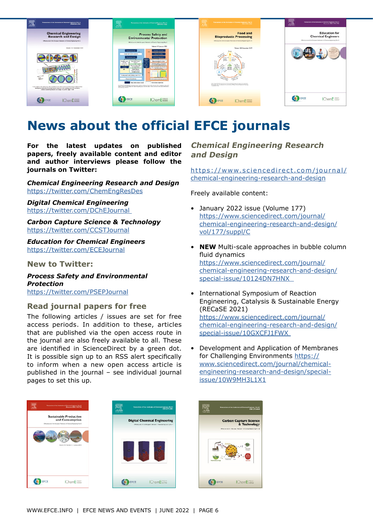

## **News about the official EFCE journals**

**For the latest updates on published papers, freely available content and editor and author interviews please follow the journals on Twitter:**

*Chemical Engineering Research and Design* <https://twitter.com/ChemEngResDes>

*Digital Chemical Engineering*  <https://twitter.com/DChEJournal>

*Carbon Capture Science & Technology* <https://twitter.com/CCSTJournal>

*[Education for Chemical Engineers](https://twitter.com/ECEJournal)*  <https://twitter.com/ECEJournal>

**New to Twitter:**

*Process Safety and Environmental Protection*  <https://twitter.com/PSEPJournal>

## **Read journal papers for free**

The following articles / issues are set for free access periods. In addition to these, articles that are published via the open access route in the journal are also freely available to all. These are identified in ScienceDirect by a green dot. It is possible sign up to an RSS alert specifically to inform when a new open access article is published in the journal – see individual journal pages to set this up.

## Sustainable Production<br>and Consumption **Digital Chemical Engineering** EFCE **IChemE** EFCE IChemE@#

## **Chemical Engineering Research and Design**

[https://www.sciencedirect.com/journal/](https://www.sciencedirect.com/journal/chemical-engineering-research-and-design) [chemical-engineering-research-and-design](https://www.sciencedirect.com/journal/chemical-engineering-research-and-design)

Freely available content:

- January 2022 issue (Volume 177) [https://www.sciencedirect.com/journal/](https://www.sciencedirect.com/journal/chemical-engineering-research-and-design/vol/177/suppl/C) [chemical-engineering-research-and-design/](https://www.sciencedirect.com/journal/chemical-engineering-research-and-design/vol/177/suppl/C) [vol/177/suppl/C](https://www.sciencedirect.com/journal/chemical-engineering-research-and-design/vol/177/suppl/C)
- **NEW** Multi-scale approaches in bubble column fluid dynamics [https://www.sciencedirect.com/journal/](https://www.sciencedirect.com/journal/chemical-engineering-research-and-design/special-issue/10124DN7HNX) [chemical-engineering-research-and-design/](https://www.sciencedirect.com/journal/chemical-engineering-research-and-design/special-issue/10124DN7HNX) [special-issue/10124DN7HNX](https://www.sciencedirect.com/journal/chemical-engineering-research-and-design/special-issue/10124DN7HNX)
- International Symposium of Reaction Engineering, Catalysis & Sustainable Energy (RECaSE 2021) [https://www.sciencedirect.com/journal/](https://www.sciencedirect.com/journal/chemical-engineering-research-and-design/special-issue/10GXCFJ1FWX) [chemical-engineering-research-and-design/](https://www.sciencedirect.com/journal/chemical-engineering-research-and-design/special-issue/10GXCFJ1FWX) [special-issue/10GXCFJ1FWX](https://www.sciencedirect.com/journal/chemical-engineering-research-and-design/special-issue/10GXCFJ1FWX)
- Development and Application of Membranes for Challenging Environments [https://](https://www.sciencedirect.com/journal/chemical-engineering-research-and-design/special-issue/10W9MH3L1X1) [www.sciencedirect.com/journal/chemical](https://www.sciencedirect.com/journal/chemical-engineering-research-and-design/special-issue/10W9MH3L1X1)[engineering-research-and-design/special](https://www.sciencedirect.com/journal/chemical-engineering-research-and-design/special-issue/10W9MH3L1X1)[issue/10W9MH3L1X1](https://www.sciencedirect.com/journal/chemical-engineering-research-and-design/special-issue/10W9MH3L1X1)

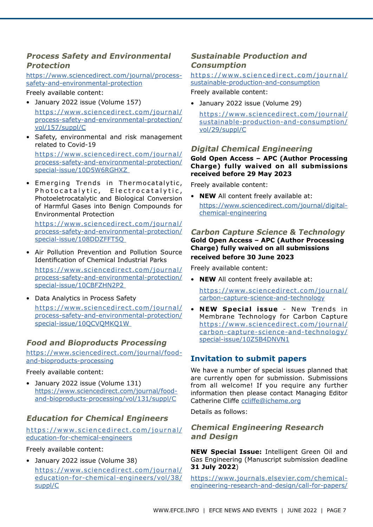## **Process Safety and Environmental Protection**

[https://www.sciencedirect.com/journal/process](https://www.sciencedirect.com/journal/process-safety-and-environmental-protection)[safety-and-environmental-protection](https://www.sciencedirect.com/journal/process-safety-and-environmental-protection)

#### Freely available content:

- January 2022 issue (Volume 157) [https://www.sciencedirect.com/journal/](https://www.sciencedirect.com/journal/process-safety-and-environmental-protection/vol/157/suppl/C) [process-safety-and-environmental-protection/](https://www.sciencedirect.com/journal/process-safety-and-environmental-protection/vol/157/suppl/C) [vol/157/suppl/C](https://www.sciencedirect.com/journal/process-safety-and-environmental-protection/vol/157/suppl/C)
- Safety, environmental and risk management related to Covid-19

[https://www.sciencedirect.com/journal/](https://www.sciencedirect.com/journal/process-safety-and-environmental-protection/special-issue/10D5W6RGHXZ) [process-safety-and-environmental-protection/](https://www.sciencedirect.com/journal/process-safety-and-environmental-protection/special-issue/10D5W6RGHXZ) [special-issue/10D5W6RGHXZ](https://www.sciencedirect.com/journal/process-safety-and-environmental-protection/special-issue/10D5W6RGHXZ)

• Emerging Trends in Thermocatalytic, Photocatalytic, Electrocatalytic, Photoeletrocatalytic and Biological Conversion of Harmful Gases into Benign Compounds for Environmental Protection

[https://www.sciencedirect.com/journal/](https://www.sciencedirect.com/journal/process-safety-and-environmental-protection/special-issue/108DDZFFT5Q) [process-safety-and-environmental-protection/](https://www.sciencedirect.com/journal/process-safety-and-environmental-protection/special-issue/108DDZFFT5Q) [special-issue/108DDZFFT5Q](https://www.sciencedirect.com/journal/process-safety-and-environmental-protection/special-issue/108DDZFFT5Q)

• Air Pollution Prevention and Pollution Source Identification of Chemical Industrial Parks

[https://www.sciencedirect.com/journal/](https://www.sciencedirect.com/journal/process-safety-and-environmental-protection/special-issue/10CBFZHN2P2) [process-safety-and-environmental-protection/](https://www.sciencedirect.com/journal/process-safety-and-environmental-protection/special-issue/10CBFZHN2P2) [special-issue/10CBFZHN2P2](https://www.sciencedirect.com/journal/process-safety-and-environmental-protection/special-issue/10CBFZHN2P2)

• Data Analytics in Process Safety [https://www.sciencedirect.com/journal/](https://www.sciencedirect.com/journal/process-safety-and-environmental-protection/special-issue/10QCVQMKQ1W) [process-safety-and-environmental-protection/](https://www.sciencedirect.com/journal/process-safety-and-environmental-protection/special-issue/10QCVQMKQ1W) [special-issue/10QCVQMKQ1W](https://www.sciencedirect.com/journal/process-safety-and-environmental-protection/special-issue/10QCVQMKQ1W)

## **Food and Bioproducts Processing**

[https://www.sciencedirect.com/journal/food](https://www.sciencedirect.com/journal/food-and-bioproducts-processing)[and-bioproducts-processing](https://www.sciencedirect.com/journal/food-and-bioproducts-processing)

#### Freely available content:

• January 2022 issue (Volume 131) https://www.sciencedirect.com/journal/foodand-bioproducts-processing/vol/131/suppl/C

## **Education for Chemical Engineers**

[https://www.sciencedirect.com/journal/](https://www.sciencedirect.com/journal/education-for-chemical-engineers) [education-for-chemical-engineers](https://www.sciencedirect.com/journal/education-for-chemical-engineers)

#### Freely available content:

• January 2022 issue (Volume 38)

[https://www.sciencedirect.com/journal/](https://www.sciencedirect.com/journal/education-for-chemical-engineers/vol/38/suppl/C) [education-for-chemical-engineers/vol/38/](https://www.sciencedirect.com/journal/education-for-chemical-engineers/vol/38/suppl/C) [suppl/C](https://www.sciencedirect.com/journal/education-for-chemical-engineers/vol/38/suppl/C)

## **Sustainable Production and Consumption**

## [https://www.sciencedirect.com/journal/](https://www.sciencedirect.com/journal/sustainable-production-and-consumption) [sustainable-production-and-consumption](https://www.sciencedirect.com/journal/sustainable-production-and-consumption)

Freely available content:

• January 2022 issue (Volume 29)

[https://www.sciencedirect.com/journal/](https://www.sciencedirect.com/journal/sustainable-production-and-consumption/vol/29/suppl/C) [sustainable-production-and-consumption/](https://www.sciencedirect.com/journal/sustainable-production-and-consumption/vol/29/suppl/C) [vol/29/suppl/C](https://www.sciencedirect.com/journal/sustainable-production-and-consumption/vol/29/suppl/C)

### **Digital Chemical Engineering**

#### **Gold Open Access – APC (Author Processing Charge) fully waived on all submissions received before 29 May 2023**

Freely available content:

• **NEW** All content freely available at: [https://www.sciencedirect.com/journal/digital](https://www.sciencedirect.com/journal/digital-chemical-engineering)[chemical-engineering](https://www.sciencedirect.com/journal/digital-chemical-engineering)

#### **Carbon Capture Science & Technology Gold Open Access – APC (Author Processing Charge) fully waived on all submissions received before 30 June 2023**

Freely available content:

• **NEW** All content freely available at:

[https://www.sciencedirect.com/journal/](https://www.sciencedirect.com/journal/carbon-capture-science-and-technology) [carbon-capture-science-and-technology](https://www.sciencedirect.com/journal/carbon-capture-science-and-technology)

• **NEW Special issue** - New Trends in Membrane Technology for Carbon Capture [https://www.sciencedirect.com/journal/](https://www.sciencedirect.com/journal/carbon-capture-science-and-technology/special-issue/10Z5B4DNVN1) [carbon-capture-science-and-technology/](https://www.sciencedirect.com/journal/carbon-capture-science-and-technology/special-issue/10Z5B4DNVN1) [special-issue/10Z5B4DNVN1](https://www.sciencedirect.com/journal/carbon-capture-science-and-technology/special-issue/10Z5B4DNVN1)

## **Invitation to submit papers**

We have a number of special issues planned that are currently open for submission. Submissions from all welcome! If you require any further information then please contact Managing Editor Catherine Cliffe [ccliffe@icheme.org](mailto:ccliffe%40icheme.org%20?subject=)

Details as follows:

## **Chemical Engineering Research and Design**

**NEW Special Issue:** Intelligent Green Oil and Gas Engineering (Manuscript submission deadline **31 July 2022**)

[https://www.journals.elsevier.com/chemical](https://www.journals.elsevier.com/chemical-engineering-research-and-design/call-for-papers/special-issue-intelligent-green-oil-and-gas-engineering)[engineering-research-and-design/call-for-papers/](https://www.journals.elsevier.com/chemical-engineering-research-and-design/call-for-papers/special-issue-intelligent-green-oil-and-gas-engineering)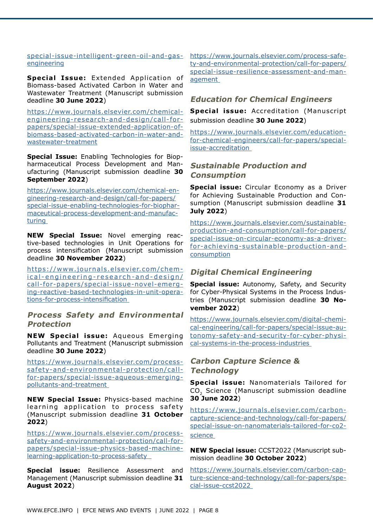#### [special-issue-intelligent-green-oil-and-gas](https://www.journals.elsevier.com/chemical-engineering-research-and-design/call-for-papers/special-issue-intelligent-green-oil-and-gas-engineering)[engineering](https://www.journals.elsevier.com/chemical-engineering-research-and-design/call-for-papers/special-issue-intelligent-green-oil-and-gas-engineering)

Special Issue: Extended Application of Biomass-based Activated Carbon in Water and Wastewater Treatment (Manuscript submission deadline **30 June 2022**)

[https://www.journals.elsevier.com/chemical](https://www.journals.elsevier.com/chemical-engineering-research-and-design/call-for-papers/special-issue-extended-application-of-biomass-based-activated-carbon-in-water-and-wastewater-treatment)[engineering-research-and-design/call-for](https://www.journals.elsevier.com/chemical-engineering-research-and-design/call-for-papers/special-issue-extended-application-of-biomass-based-activated-carbon-in-water-and-wastewater-treatment)[papers/special-issue-extended-application-of](https://www.journals.elsevier.com/chemical-engineering-research-and-design/call-for-papers/special-issue-extended-application-of-biomass-based-activated-carbon-in-water-and-wastewater-treatment)[biomass-based-activated-carbon-in-water-and](https://www.journals.elsevier.com/chemical-engineering-research-and-design/call-for-papers/special-issue-extended-application-of-biomass-based-activated-carbon-in-water-and-wastewater-treatment)[wastewater-treatment](https://www.journals.elsevier.com/chemical-engineering-research-and-design/call-for-papers/special-issue-extended-application-of-biomass-based-activated-carbon-in-water-and-wastewater-treatment)

**Special Issue:** Enabling Technologies for Biopharmaceutical Process Development and Manufacturing (Manuscript submission deadline **30 September 2022**)

[https://www.journals.elsevier.com/chemical-en](https://www.journals.elsevier.com/chemical-engineering-research-and-design/call-for-papers/special-issue-enabling-technologies-for-biopharmaceutical-process-development-and-manufacturing)[gineering-research-and-design/call-for-papers/](https://www.journals.elsevier.com/chemical-engineering-research-and-design/call-for-papers/special-issue-enabling-technologies-for-biopharmaceutical-process-development-and-manufacturing) [special-issue-enabling-technologies-for-biophar](https://www.journals.elsevier.com/chemical-engineering-research-and-design/call-for-papers/special-issue-enabling-technologies-for-biopharmaceutical-process-development-and-manufacturing)[maceutical-process-development-and-manufac](https://www.journals.elsevier.com/chemical-engineering-research-and-design/call-for-papers/special-issue-enabling-technologies-for-biopharmaceutical-process-development-and-manufacturing)[turing](https://www.journals.elsevier.com/chemical-engineering-research-and-design/call-for-papers/special-issue-enabling-technologies-for-biopharmaceutical-process-development-and-manufacturing) 

**NEW Special Issue:** Novel emerging reactive-based technologies in Unit Operations for process intensification (Manuscript submission deadline **30 November 2022**)

https://www.journals.elsevier.com/chem[ical-engineering-research-and-design/](https://www.journals.elsevier.com/chemical-engineering-research-and-design/call-for-papers/special-issue-novel-emerging-reactive-based-technologies-in-unit-operations-for-process-intensification) [call-for-papers/special-issue-novel-emerg](https://www.journals.elsevier.com/chemical-engineering-research-and-design/call-for-papers/special-issue-novel-emerging-reactive-based-technologies-in-unit-operations-for-process-intensification)[ing-reactive-based-technologies-in-unit-opera](https://www.journals.elsevier.com/chemical-engineering-research-and-design/call-for-papers/special-issue-novel-emerging-reactive-based-technologies-in-unit-operations-for-process-intensification)[tions-for-process-intensification](https://www.journals.elsevier.com/chemical-engineering-research-and-design/call-for-papers/special-issue-novel-emerging-reactive-based-technologies-in-unit-operations-for-process-intensification) 

### **Process Safety and Environmental Protection**

**NEW Special issue:** Aqueous Emerging Pollutants and Treatment (Manuscript submission deadline **30 June 2022**)

[https://www.journals.elsevier.com/process](https://www.journals.elsevier.com/process-safety-and-environmental-protection/call-for-papers/special-issue-aqueous-emerging-pollutants-and-treatment)[safety-and-environmental-protection/call](https://www.journals.elsevier.com/process-safety-and-environmental-protection/call-for-papers/special-issue-aqueous-emerging-pollutants-and-treatment)[for-papers/special-issue-aqueous-emerging](https://www.journals.elsevier.com/process-safety-and-environmental-protection/call-for-papers/special-issue-aqueous-emerging-pollutants-and-treatment)[pollutants-and-treatment](https://www.journals.elsevier.com/process-safety-and-environmental-protection/call-for-papers/special-issue-aqueous-emerging-pollutants-and-treatment) 

**NEW Special Issue:** Physics-based machine learning application to process safety (Manuscript submission deadline **31 October 2022**)

[https://www.journals.elsevier.com/process](https://www.journals.elsevier.com/process-safety-and-environmental-protection/call-for-papers/special-issue-physics-based-machine-learning-application-to-process-safety)[safety-and-environmental-protection/call-for](https://www.journals.elsevier.com/process-safety-and-environmental-protection/call-for-papers/special-issue-physics-based-machine-learning-application-to-process-safety)[papers/special-issue-physics-based-machine](https://www.journals.elsevier.com/process-safety-and-environmental-protection/call-for-papers/special-issue-physics-based-machine-learning-application-to-process-safety)[learning-application-to-process-safety](https://www.journals.elsevier.com/process-safety-and-environmental-protection/call-for-papers/special-issue-physics-based-machine-learning-application-to-process-safety) 

**Special issue:** Resilience Assessment and Management (Manuscript submission deadline **31 August 2022**)

[https://www.journals.elsevier.com/process-safe](https://www.journals.elsevier.com/process-safety-and-environmental-protection/call-for-papers/special-issue-resilience-assessment-and-management)[ty-and-environmental-protection/call-for-papers/](https://www.journals.elsevier.com/process-safety-and-environmental-protection/call-for-papers/special-issue-resilience-assessment-and-management) [special-issue-resilience-assessment-and-man](https://www.journals.elsevier.com/process-safety-and-environmental-protection/call-for-papers/special-issue-resilience-assessment-and-management)[agement](https://www.journals.elsevier.com/process-safety-and-environmental-protection/call-for-papers/special-issue-resilience-assessment-and-management) 

## **Education for Chemical Engineers**

**Special issue:** Accreditation (Manuscript submission deadline **30 June 2022**)

https://www.journals.elsevier.com/educationfor-chemical-engineers/call-for-papers/specialissue-accreditation

## **Sustainable Production and Consumption**

**Special issue:** Circular Economy as a Driver for Achieving Sustainable Production and Consumption (Manuscript submission deadline **31 July 2022**)

[https://www.journals.elsevier.com/sustainable](https://www.journals.elsevier.com/sustainable-production-and-consumption/call-for-papers/special-issue-on-circular-economy-as-a-driver-for-achieving-sustainable-production-and-consumption)[production-and-consumption/call-for-papers/](https://www.journals.elsevier.com/sustainable-production-and-consumption/call-for-papers/special-issue-on-circular-economy-as-a-driver-for-achieving-sustainable-production-and-consumption) [special-issue-on-circular-economy-as-a-driver](https://www.journals.elsevier.com/sustainable-production-and-consumption/call-for-papers/special-issue-on-circular-economy-as-a-driver-for-achieving-sustainable-production-and-consumption)[for-achieving-sustainable-production-and](https://www.journals.elsevier.com/sustainable-production-and-consumption/call-for-papers/special-issue-on-circular-economy-as-a-driver-for-achieving-sustainable-production-and-consumption)[consumptio](https://www.journals.elsevier.com/sustainable-production-and-consumption/call-for-papers/special-issue-on-circular-economy-as-a-driver-for-achieving-sustainable-production-and-consumption)n

## **Digital Chemical Engineering**

**Special issue:** Autonomy, Safety, and Security for Cyber-Physical Systems in the Process Industries (Manuscript submission deadline **30 November 2022**)

https://www.journals.elsevier.com/digital-chemi[cal-engineering/call-for-papers/special-issue-au](https://www.journals.elsevier.com/digital-chemical-engineering/call-for-papers/special-issue-autonomy-safety-and-security-for-cyber-physical-systems-in-the-process-industries)[tonomy-safety-and-security-for-cyber-physi](https://www.journals.elsevier.com/digital-chemical-engineering/call-for-papers/special-issue-autonomy-safety-and-security-for-cyber-physical-systems-in-the-process-industries)[cal-systems-in-the-process-industries](https://www.journals.elsevier.com/digital-chemical-engineering/call-for-papers/special-issue-autonomy-safety-and-security-for-cyber-physical-systems-in-the-process-industries)

## **Carbon Capture Science & Technology**

**Special issue:** Nanomaterials Tailored for CO<sub>2</sub> Science (Manuscript submission deadline **30 June 2022**)

[https://www.journals.elsevier.com/carbon](https://www.journals.elsevier.com/carbon-capture-science-and-technology/call-for-papers/special-issue-on-nanomaterials-tailored-for-co2-science)[capture-science-and-technology/call-for-papers/](https://www.journals.elsevier.com/carbon-capture-science-and-technology/call-for-papers/special-issue-on-nanomaterials-tailored-for-co2-science) [special-issue-on-nanomaterials-tailored-for-co2](https://www.journals.elsevier.com/carbon-capture-science-and-technology/call-for-papers/special-issue-on-nanomaterials-tailored-for-co2-science) [science](https://www.journals.elsevier.com/carbon-capture-science-and-technology/call-for-papers/special-issue-on-nanomaterials-tailored-for-co2-science) 

**NEW Special issue:** CCST2022 (Manuscript submission deadline **30 October 2022**)

[https://www.journals.elsevier.com/carbon-cap](https://www.journals.elsevier.com/carbon-capture-science-and-technology/call-for-papers/special-issue-ccst2022)[ture-science-and-technology/call-for-papers/spe](https://www.journals.elsevier.com/carbon-capture-science-and-technology/call-for-papers/special-issue-ccst2022)[cial-issue-ccst2022](https://www.journals.elsevier.com/carbon-capture-science-and-technology/call-for-papers/special-issue-ccst2022)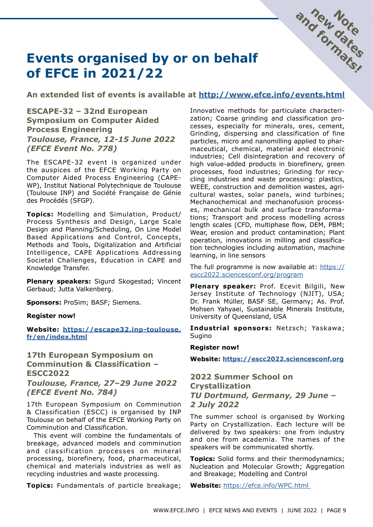

## **Events organised by or on behalf of EFCE in 2021/22**

**An extended list of events is available at<http://www.efce.info/events.html>**

**ESCAPE-32 – 32nd European Symposium on Computer Aided Process Engineering** *Toulouse, France, 12-15 June 2022 (EFCE Event No. 778)*

The ESCAPE-32 event is organized under the auspices of the EFCE Working Party on Computer Aided Process Engineering (CAPE-WP), Institut National Polytechnique de Toulouse (Toulouse INP) and Société Française de Génie des Procédés (SFGP).

**Topics:** Modelling and Simulation, Product/ Process Synthesis and Design, Large Scale Design and Planning/Scheduling, On Line Model Based Applications and Control, Concepts, Methods and Tools, Digitalization and Artificial Intelligence, CAPE Applications Addressing Societal Challenges, Education in CAPE and Knowledge Transfer.

**Plenary speakers:** Sigurd Skogestad; Vincent Gerbaud; Jutta Valkenberg.

**Sponsors:** ProSim; BASF; Siemens.

#### **Register now!**

**Website: [https://escape32.inp-toulouse.](https://escape32.inp-toulouse.fr/en/index.html) [fr/en/index.html](https://escape32.inp-toulouse.fr/en/index.html)**

## **17th European Symposium on Comminution & Classification – ESCC2022**

*Toulouse, France, 27–29 June 2022 (EFCE Event No. 784)*

17th European Symposium on Comminution & Classification (ESCC) is organised by INP Toulouse on behalf of the EFCE Working Party on Comminution and Classification.

This event will combine the fundamentals of breakage, advanced models and comminution and classification processes on mineral processing, biorefinery, food, pharmaceutical, chemical and materials industries as well as recycling industries and waste processing.

**Topics:** Fundamentals of particle breakage;

Innovative methods for particulate characterization; Coarse grinding and classification processes, especially for minerals, ores, cement, Grinding, dispersing and classification of fine particles, micro and nanomilling applied to pharmaceutical, chemical, material and electronic industries; Cell disintegration and recovery of high value-added products in biorefinery, green processes, food industries; Grinding for recycling industries and waste processing: plastics, WEEE, construction and demolition wastes, agricultural wastes, solar panels, wind turbines; Mechanochemical and mechanofusion processes, mechanical bulk and surface transformations; Transport and process modelling across length scales (CFD, multiphase flow, DEM, PBM; Wear, erosion and product contamination; Plant operation, innovations in milling and classification technologies including automation, machine learning, in line sensors

The full programme is now available at: [https://](https://escc2022.sciencesconf.org/program) [escc2022.sciencesconf.org/program](https://escc2022.sciencesconf.org/program)

**Plenary speaker:** Prof. Ecevit Bilgili, New Jersey Institute of Technology (NJIT), USA; Dr. Frank Müller, BASF SE, Germany; As. Prof. Mohsen Yahyaei, Sustainable Minerals Institute, University of Queensland, USA

**Industrial sponsors:** Netzsch; Yaskawa; Sugino

#### **Register now!**

**Website:<https://escc2022.sciencesconf.org>**

## **2022 Summer School on Crystallization** *TU Dortmund, Germany, 29 June – 2 July 2022*

The summer school is organised by Working Party on Crystallization. Each lecture will be delivered by two speakers: one from industry and one from academia. The names of the speakers will be communicated shortly.

**Topics:** Solid forms and their thermodynamics; Nucleation and Molecular Growth; Aggregation and Breakage; Modelling and Control

**Website:** <https://efce.info/WPC.html>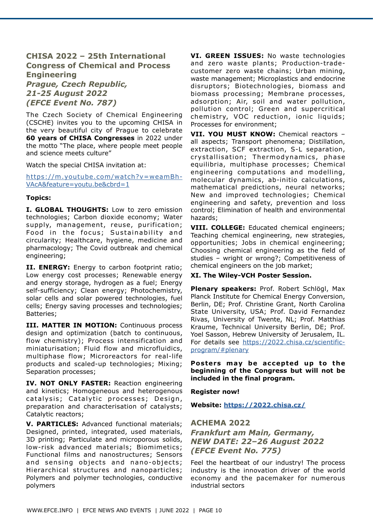## **CHISA 2022 – 25th International Congress of Chemical and Process Engineering**

*Prague, Czech Republic, 21-25 August 2022 (EFCE Event No. 787)*

The Czech Society of Chemical Engineering (CSCHE) invites you to the upcoming CHISA in the very beautiful city of Prague to celebrate **60 years of CHISA Congresses** in 2022 under the motto "The place, where people meet people and science meets culture"

Watch the special CHISA invitation at:

[https://m.youtube.com/watch?v=weamBh-](https://m.youtube.com/watch?v=weamBh-VAcA&feature=youtu.be&cbrd=1)[VAcA&feature=youtu.be&cbrd=1](https://m.youtube.com/watch?v=weamBh-VAcA&feature=youtu.be&cbrd=1)

#### **Topics:**

**I. GLOBAL THOUGHTS:** Low to zero emission technologies; Carbon dioxide economy; Water supply, management, reuse, purification; Food in the focus; Sustainability and circularity; Healthcare, hygiene, medicine and pharmacology; The Covid outbreak and chemical engineering;

**II. ENERGY:** Energy to carbon footprint ratio; Low energy cost processes; Renewable energy and energy storage, hydrogen as a fuel; Energy self-sufficiency; Clean energy; Photochemistry, solar cells and solar powered technologies, fuel cells; Energy saving processes and technologies; Batteries;

**III. MATTER IN MOTION:** Continuous process design and optimization (batch to continuous, flow chemistry); Process intensification and miniaturisation; Fluid flow and microfluidics, multiphase flow; Microreactors for real-life products and scaled-up technologies; Mixing; Separation processes;

**IV. NOT ONLY FASTER:** Reaction engineering and kinetics; Homogeneous and heterogenous catalysis; Catalytic processes; Design, preparation and characterisation of catalysts; Catalytic reactors;

**V. PARTICLES:** Advanced functional materials; Designed, printed, integrated, used materials, 3D printing; Particulate and microporous solids, low-risk advanced materials; Biomimetics; Functional films and nanostructures; Sensors and sensing objects and nano-objects; Hierarchical structures and nanoparticles; Polymers and polymer technologies, conductive polymers

**VI. GREEN ISSUES:** No waste technologies and zero waste plants; Production-tradecustomer zero waste chains; Urban mining, waste management; Microplastics and endocrine disruptors; Biotechnologies, biomass and biomass processing; Membrane processes, adsorption; Air, soil and water pollution, pollution control; Green and supercritical chemistry, VOC reduction, ionic liquids; Processes for environment;

**VII. YOU MUST KNOW:** Chemical reactors – all aspects; Transport phenomena; Distillation, extraction, SCF extraction, S-L separation, crystallisation; Thermodynamics, phase equilibria, multiphase processes; Chemical engineering computations and modelling, molecular dynamics, ab-initio calculations, mathematical predictions, neural networks; New and improved technologies; Chemical engineering and safety, prevention and loss control; Elimination of health and environmental hazards;

**VIII. COLLEGE:** Educated chemical engineers; Teaching chemical engineering, new strategies, opportunities; Jobs in chemical engineering; Choosing chemical engineering as the field of studies – wright or wrong?; Competitiveness of chemical engineers on the job market;

#### **XI. The Wiley-VCH Poster Session.**

**Plenary speakers:** Prof. Robert Schlögl, Max Planck Institute for Chemical Energy Conversion, Berlin, DE; Prof. Christine Grant, North Carolina State University, USA; Prof. David Fernandez Rivas, University of Twente, NL; Prof. Matthias Kraume, Technical University Berlin, DE; Prof. Yoel Sasson, Hebrew University of Jerusalem, IL. For details see [https://2022.chisa.cz/scientific](https://2022.chisa.cz/scientific-program/#plenary)[program/#plenary](https://2022.chisa.cz/scientific-program/#plenary)

**Posters may be accepted up to the beginning of the Congress but will not be included in the final program.** 

**Register now!**

**Website:<https://2022.chisa.cz/>**

## **ACHEMA 2022**

## *Frankfurt am Main, Germany, NEW DATE: 22–26 August 2022 (EFCE Event No. 775)*

Feel the heartbeat of our industry! The process industry is the innovation driver of the world economy and the pacemaker for numerous industrial sectors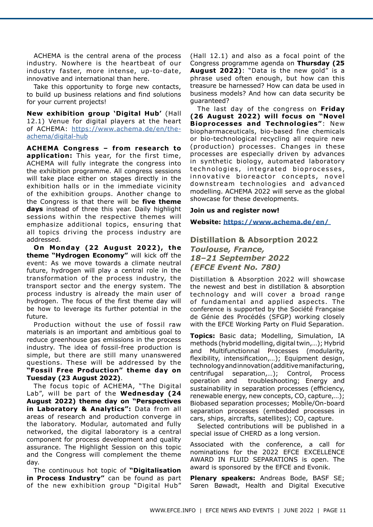ACHEMA is the central arena of the process industry. Nowhere is the heartbeat of our industry faster, more intense, up-to-date, innovative and international than here.

Take this opportunity to forge new contacts, to build up business relations and find solutions for your current projects!

**New exhibition group 'Digital Hub'** (Hall 12.1) Venue for digital players at the heart of ACHEMA: [https://www.achema.de/en/the](https://www.achema.de/en/the-achema/digital-hub)[achema/digital-hub](https://www.achema.de/en/the-achema/digital-hub)

**ACHEMA Congress – from research to application:** This year, for the first time, ACHEMA will fully integrate the congress into the exhibition programme. All congress sessions will take place either on stages directly in the exhibition halls or in the immediate vicinity of the exhibition groups. Another change to the Congress is that there will be **five theme days** instead of three this year. Daily highlight sessions within the respective themes will emphasize additional topics, ensuring that all topics driving the process industry are addressed.

**On Monday (22 August 2022), the theme "Hydrogen Economy"** will kick off the event: As we move towards a climate neutral future, hydrogen will play a central role in the transformation of the process industry, the transport sector and the energy system. The process industry is already the main user of hydrogen. The focus of the first theme day will be how to leverage its further potential in the future.

Production without the use of fossil raw materials is an important and ambitious goal to reduce greenhouse gas emissions in the process industry. The idea of fossil-free production is simple, but there are still many unanswered questions. These will be addressed by the **"Fossil Free Production" theme day on Tuesday (23 August 2022)**.

The focus topic of ACHEMA, "The Digital Lab", will be part of the **Wednesday (24 August 2022) theme day on "Perspectives in Laboratory & Analytics":** Data from all areas of research and production converge in the laboratory. Modular, automated and fully networked, the digital laboratory is a central component for process development and quality assurance. The Highlight Session on this topic and the Congress will complement the theme day.

The continuous hot topic of **"Digitalisation in Process Industry"** can be found as part of the new exhibition group "Digital Hub"

(Hall 12.1) and also as a focal point of the Congress programme agenda on **Thursday (25 August 2022)**: "Data is the new gold" is a phrase used often enough, but how can this treasure be harnessed? How can data be used in business models? And how can data security be guaranteed?

The last day of the congress on **Friday (26 August 2022) will focus on "Novel Bioprocesses and Technologies"**: New biopharmaceuticals, bio-based fine chemicals or bio-technological recycling all require new (production) processes. Changes in these processes are especially driven by advances in synthetic biology, automated laboratory technologies, integrated bioprocesses, innovative bioreactor concepts, novel downstream technologies and advanced modelling. ACHEMA 2022 will serve as the global showcase for these developments.

#### **Join us and register now!**

**Website: <https://www.achema.de/en/>**

### **Distillation & Absorption 2022** *Toulouse, France, 18–21 September 2022 (EFCE Event No. 780)*

Distillation & Absorption 2022 will showcase the newest and best in distillation & absorption technology and will cover a broad range of fundamental and applied aspects. The conference is supported by the Société Française de Génie des Procédés (SFGP) working closely with the EFCE Working Party on Fluid Separation.

**Topics:** Basic data; Modelling, Simulation, IA methods (hybrid modelling, digital twin,…); Hybrid and Multifunctionnal Processes (modularity, flexibility, intensification,…); Equipment design, technology and innovation (additive manifacturing, centrifugal separation,…); Control, Process operation and troubleshooting; Energy and sustainability in separation processes (efficiency, renewable energy, new concepts,  $CO<sub>2</sub>$  capture,...); Biobased separation processes; Mobile/On-board separation processes (embedded processes in  $cars, ships, aircrafts, satellites); CO, capture.$ 

Selected contributions will be published in a special issue of CHERD as a long version.

Associated with the conference, a call for nominations for the 2022 EFCE EXCELLENCE AWARD IN FLUID SEPARATIONS is open. The award is sponsored by the EFCE and Evonik.

**Plenary speakers:** Andreas Bode, BASF SE; Søren Bøwadt, Health and Digital Executive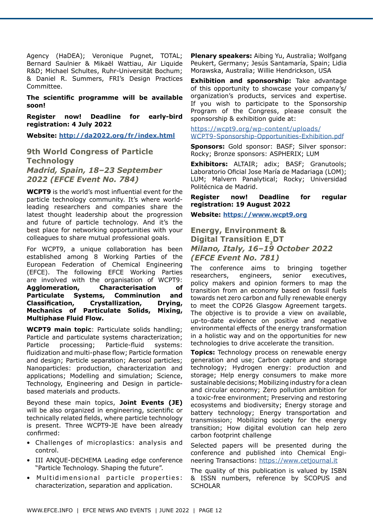Agency (HaDEA); Veronique Pugnet, TOTAL; Bernard Saulnier & Mikaël Wattiau, Air Liquide R&D; Michael Schultes, Ruhr-Universität Bochum; & Daniel R. Summers, FRI's Design Practices Committee.

**The scientific programme will be available soon!**

**Register now! Deadline for early-bird registration: 4 July 2022**

**Website:<http://da2022.org/fr/index.html>**

**9th World Congress of Particle Technology** *Madrid, Spain, 18–23 September 2022 (EFCE Event No. 784)*

**WCPT9** is the world's most influential event for the particle technology community. It's where worldleading researchers and companies share the latest thought leadership about the progression and future of particle technology. And it's the best place for networking opportunities with your colleagues to share mutual professional goals.

For WCPT9, a unique collaboration has been established among 8 Working Parties of the European Federation of Chemical Engineering (EFCE). The following EFCE Working Parties are involved with the organisation of WCPT9: **Agglomeration, Characterisation of Particulate Systems, Comminution and Classification, Crystallization, Drying, Mechanics of Particulate Solids, Mixing, Multiphase Fluid Flow.** 

**WCPT9 main topic**: Particulate solids handling; Particle and particulate systems characterization; Particle processing; Particle-fluid systems: fluidization and multi-phase flow; Particle formation and design; Particle separation; Aerosol particles; Nanoparticles: production, characterization and applications; Modelling and simulation; Science, Technology, Engineering and Design in particlebased materials and products.

Beyond these main topics, **Joint Events (JE)** will be also organized in engineering, scientific or technically related fields, where particle technology is present. Three WCPT9-JE have been already confirmed:

- Challenges of microplastics: analysis and control.
- III ANQUE-DECHEMA Leading edge conference "Particle Technology. Shaping the future".
- Multidimensional particle properties: characterization, separation and application.

**Plenary speakers:** Aibing Yu, Australia; Wolfgang Peukert, Germany; Jesús Santamaría, Spain; Lidia Morawska, Australia; Willie Hendrickson, USA

**Exhibition and sponsorship:** Take advantage of this opportunity to showcase your company's/ organization's products, services and expertise. If you wish to participate to the Sponsorship Program of the Congress, please consult the sponsorship & exhibition guide at:

[https://wcpt9.org/wp-content/uploads/](https://wcpt9.org/wp-content/uploads/WCPT9-Sponsorship-Opportunities-Exhibition.pdf) [WCPT9-Sponsorship-Opportunities-Exhibition.pdf](https://wcpt9.org/wp-content/uploads/WCPT9-Sponsorship-Opportunities-Exhibition.pdf)

**Sponsors:** Gold sponsor: BASF; Silver sponsor: Rocky; Bronze sponsors: ASPHERIX; LUM

**Exhibitors:** ALTAIR; adix; BASF; Granutools; Laboratorio Oficial Jose María de Madariaga (LOM); LUM; Malvern Panalytical; Rocky; Universidad Politécnica de Madrid.

**Register now! Deadline for regular registration: 19 August 2022**

**Website: <https://www.wcpt9.org>**

## **Energy, Environment & Digital Transition E, DT** *Milano, Italy, 16–19 October 2022 (EFCE Event No. 781)*

The conference aims to bringing together researchers, engineers, senior executives, policy makers and opinion formers to map the transition from an economy based on fossil fuels towards net zero carbon and fully renewable energy to meet the COP26 Glasgow Agreement targets. The objective is to provide a view on available, up-to-date evidence on positive and negative environmental effects of the energy transformation in a holistic way and on the opportunities for new technologies to drive accelerate the transition.

**Topics:** Technology process on renewable energy generation and use; Carbon capture and storage technology; Hydrogen energy: production and storage; Help energy consumers to make more sustainable decisions; Mobilizing industry for a clean and circular economy; Zero pollution ambition for a toxic-free environment; Preserving and restoring ecosystems and biodiversity; Energy storage and battery technology; Energy transportation and transmission; Mobilizing society for the energy transition; How digital evolution can help zero carbon footprint challenge

Selected papers will be presented during the conference and published into Chemical Engineering Transactions: <https://www.cetjournal.it>

The quality of this publication is valued by ISBN & ISSN numbers, reference by SCOPUS and **SCHOLAR**